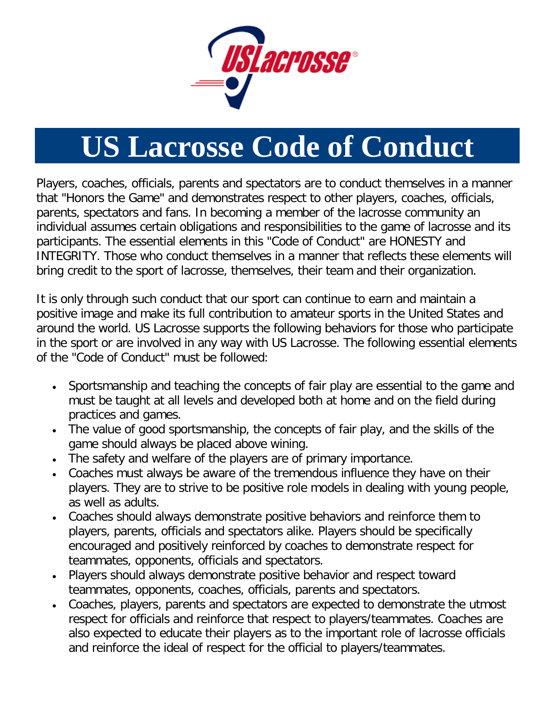

## **US Lacrosse Code of Conduct**

Players, coaches, officials, parents and spectators are to conduct themselves in a manner that "Honors the Game" and demonstrates respect to other players, coaches, officials, parents, spectators and fans. In becoming a member of the lacrosse community an individual assumes certain obligations and responsibilities to the game of lacrosse and its participants. The essential elements in this "Code of Conduct" are HONESTY and INTEGRITY. Those who conduct themselves in a manner that reflects these elements will bring credit to the sport of lacrosse, themselves, their team and their organization.

It is only through such conduct that our sport can continue to earn and maintain a positive image and make its full contribution to amateur sports in the United States and around the world. US Lacrosse supports the following behaviors for those who participate in the sport or are involved in any way with US Lacrosse. The following essential elements of the "Code of Conduct" must be followed:

- Sportsmanship and teaching the concepts of fair play are essential to the game and must be taught at all levels and developed both at home and on the field during practices and games.
- The value of good sportsmanship, the concepts of fair play, and the skills of the game should always be placed above wining.
- The safety and welfare of the players are of primary importance.
- Coaches must always be aware of the tremendous influence they have on their players. They are to strive to be positive role models in dealing with young people, as well as adults.
- Coaches should always demonstrate positive behaviors and reinforce them to players, parents, officials and spectators alike. Players should be specifically encouraged and positively reinforced by coaches to demonstrate respect for teammates, opponents, officials and spectators.
- Players should always demonstrate positive behavior and respect toward teammates, opponents, coaches, officials, parents and spectators.
- Coaches, players, parents and spectators are expected to demonstrate the utmost respect for officials and reinforce that respect to players/teammates. Coaches are also expected to educate their players as to the important role of lacrosse officials and reinforce the ideal of respect for the official to players/teammates.